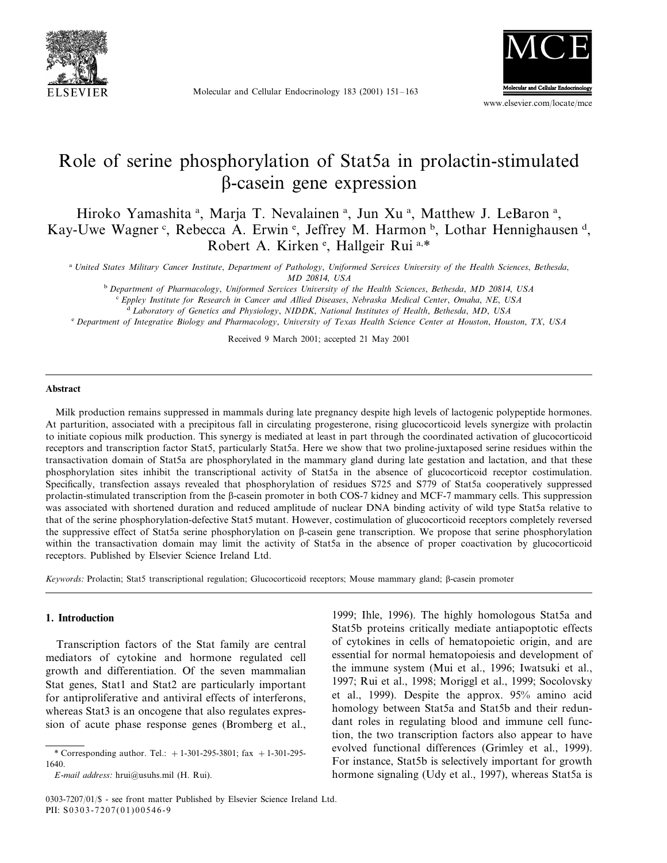

Molecular and Cellular Endocrinology 183 (2001) 151–163



www.elsevier.com/locate/mce

# Role of serine phosphorylation of Stat5a in prolactin-stimulated -casein gene expression

Hiroko Yamashita<sup>a</sup>, Marja T. Nevalainen<sup>a</sup>, Jun Xu<sup>a</sup>, Matthew J. LeBaron<sup>a</sup>, Kay-Uwe Wagner<sup>c</sup>, Rebecca A. Erwin<sup>e</sup>, Jeffrey M. Harmon<sup>b</sup>, Lothar Hennighausen<sup>d</sup>, Robert A. Kirken<sup>e</sup>, Hallgeir Rui<sup>a,\*</sup>

<sup>a</sup> *United States Military Cancer Institute*, *Department of Pathology*, *Uniformed Serices Uniersity of the Health Sciences*, *Bethesda*, *MD* 20814, *USA*

<sup>b</sup> *Department of Pharmacology*, *Uniformed Serices Uniersity of the Health Sciences*, *Bethesda*, *MD* <sup>20814</sup>, *USA* <sup>c</sup> *Eppley Institute for Research in Cancer and Allied Diseases*, *Nebraska Medical Center*, *Omaha*, *NE*, *USA*

<sup>d</sup> *Laboratory of Genetics and Physiology*, *NIDDK*, *National Institutes of Health*, *Bethesda*, *MD*, *USA*

<sup>e</sup> *Department of Integratie Biology and Pharmacology*, *Uniersity of Texas Health Science Center at Houston*, *Houston*, *TX*, *USA*

Received 9 March 2001; accepted 21 May 2001

#### **Abstract**

Milk production remains suppressed in mammals during late pregnancy despite high levels of lactogenic polypeptide hormones. At parturition, associated with a precipitous fall in circulating progesterone, rising glucocorticoid levels synergize with prolactin to initiate copious milk production. This synergy is mediated at least in part through the coordinated activation of glucocorticoid receptors and transcription factor Stat5, particularly Stat5a. Here we show that two proline-juxtaposed serine residues within the transactivation domain of Stat5a are phosphorylated in the mammary gland during late gestation and lactation, and that these phosphorylation sites inhibit the transcriptional activity of Stat5a in the absence of glucocorticoid receptor costimulation. Specifically, transfection assays revealed that phosphorylation of residues S725 and S779 of Stat5a cooperatively suppressed prolactin-stimulated transcription from the  $\beta$ -casein promoter in both COS-7 kidney and MCF-7 mammary cells. This suppression was associated with shortened duration and reduced amplitude of nuclear DNA binding activity of wild type Stat5a relative to that of the serine phosphorylation-defective Stat5 mutant. However, costimulation of glucocorticoid receptors completely reversed the suppressive effect of Stat5a serine phosphorylation on  $\beta$ -casein gene transcription. We propose that serine phosphorylation within the transactivation domain may limit the activity of Stat5a in the absence of proper coactivation by glucocorticoid receptors. Published by Elsevier Science Ireland Ltd.

*Keywords:* Prolactin; Stat5 transcriptional regulation; Glucocorticoid receptors; Mouse mammary gland; B-casein promoter

#### **1. Introduction**

Transcription factors of the Stat family are central mediators of cytokine and hormone regulated cell growth and differentiation. Of the seven mammalian Stat genes, Stat1 and Stat2 are particularly important for antiproliferative and antiviral effects of interferons, whereas Stat<sub>3</sub> is an oncogene that also regulates expression of acute phase response genes (Bromberg et al., 1999; Ihle, 1996). The highly homologous Stat5a and Stat5b proteins critically mediate antiapoptotic effects of cytokines in cells of hematopoietic origin, and are essential for normal hematopoiesis and development of the immune system (Mui et al., 1996; Iwatsuki et al., 1997; Rui et al., 1998; Moriggl et al., 1999; Socolovsky et al., 1999). Despite the approx. 95% amino acid homology between Stat5a and Stat5b and their redundant roles in regulating blood and immune cell function, the two transcription factors also appear to have evolved functional differences (Grimley et al., 1999). For instance, Stat5b is selectively important for growth hormone signaling (Udy et al., 1997), whereas Stat5a is

<sup>\*</sup> Corresponding author. Tel.:  $+1-301-295-3801$ ; fax  $+1-301-295-$ 1640.

*E*-*mail address*: hrui@usuhs.mil (H. Rui).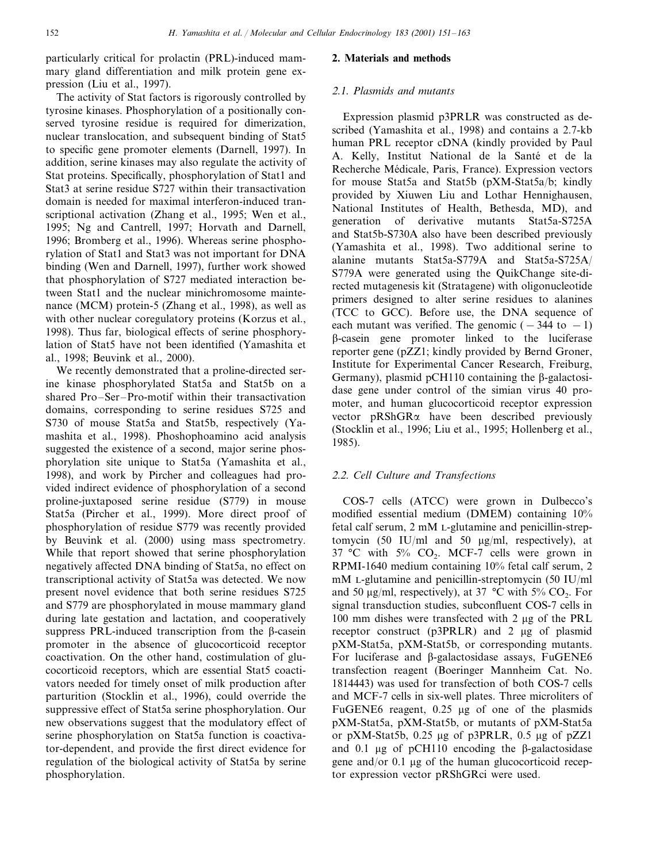particularly critical for prolactin (PRL)-induced mammary gland differentiation and milk protein gene expression (Liu et al., 1997).

The activity of Stat factors is rigorously controlled by tyrosine kinases. Phosphorylation of a positionally conserved tyrosine residue is required for dimerization, nuclear translocation, and subsequent binding of Stat5 to specific gene promoter elements (Darnell, 1997). In addition, serine kinases may also regulate the activity of Stat proteins. Specifically, phosphorylation of Stat1 and Stat3 at serine residue S727 within their transactivation domain is needed for maximal interferon-induced transcriptional activation (Zhang et al., 1995; Wen et al., 1995; Ng and Cantrell, 1997; Horvath and Darnell, 1996; Bromberg et al., 1996). Whereas serine phosphorylation of Stat1 and Stat3 was not important for DNA binding (Wen and Darnell, 1997), further work showed that phosphorylation of S727 mediated interaction between Stat1 and the nuclear minichromosome maintenance (MCM) protein-5 (Zhang et al., 1998), as well as with other nuclear coregulatory proteins (Korzus et al., 1998). Thus far, biological effects of serine phosphorylation of Stat5 have not been identified (Yamashita et al., 1998; Beuvink et al., 2000).

We recently demonstrated that a proline-directed serine kinase phosphorylated Stat5a and Stat5b on a shared Pro–Ser–Pro-motif within their transactivation domains, corresponding to serine residues S725 and S730 of mouse Stat5a and Stat5b, respectively (Yamashita et al., 1998). Phoshophoamino acid analysis suggested the existence of a second, major serine phosphorylation site unique to Stat5a (Yamashita et al., 1998), and work by Pircher and colleagues had provided indirect evidence of phosphorylation of a second proline-juxtaposed serine residue (S779) in mouse Stat5a (Pircher et al., 1999). More direct proof of phosphorylation of residue S779 was recently provided by Beuvink et al. (2000) using mass spectrometry. While that report showed that serine phosphorylation negatively affected DNA binding of Stat5a, no effect on transcriptional activity of Stat5a was detected. We now present novel evidence that both serine residues S725 and S779 are phosphorylated in mouse mammary gland during late gestation and lactation, and cooperatively suppress PRL-induced transcription from the  $\beta$ -casein promoter in the absence of glucocorticoid receptor coactivation. On the other hand, costimulation of glucocorticoid receptors, which are essential Stat5 coactivators needed for timely onset of milk production after parturition (Stocklin et al., 1996), could override the suppressive effect of Stat5a serine phosphorylation. Our new observations suggest that the modulatory effect of serine phosphorylation on Stat5a function is coactivator-dependent, and provide the first direct evidence for regulation of the biological activity of Stat5a by serine phosphorylation.

#### **2. Materials and methods**

#### <sup>2</sup>.1. *Plasmids and mutants*

Expression plasmid p3PRLR was constructed as described (Yamashita et al., 1998) and contains a 2.7-kb human PRL receptor cDNA (kindly provided by Paul A. Kelly, Institut National de la Santé et de la Recherche Médicale, Paris, France). Expression vectors for mouse Stat5a and Stat5b (pXM-Stat5a/b; kindly provided by Xiuwen Liu and Lothar Hennighausen, National Institutes of Health, Bethesda, MD), and generation of derivative mutants Stat5a-S725A and Stat5b-S730A also have been described previously (Yamashita et al., 1998). Two additional serine to alanine mutants Stat5a-S779A and Stat5a-S725A/ S779A were generated using the QuikChange site-directed mutagenesis kit (Stratagene) with oligonucleotide primers designed to alter serine residues to alanines (TCC to GCC). Before use, the DNA sequence of each mutant was verified. The genomic  $(-344 \text{ to } -1)$ -casein gene promoter linked to the luciferase reporter gene (pZZ1; kindly provided by Bernd Groner, Institute for Experimental Cancer Research, Freiburg, Germany), plasmid pCH110 containing the  $\beta$ -galactosidase gene under control of the simian virus 40 promoter, and human glucocorticoid receptor expression vector  $pRShGR\alpha$  have been described previously (Stocklin et al., 1996; Liu et al., 1995; Hollenberg et al., 1985).

## <sup>2</sup>.2. *Cell Culture and Transfections*

COS-7 cells (ATCC) were grown in Dulbecco's modified essential medium (DMEM) containing 10% fetal calf serum, 2 mM L-glutamine and penicillin-streptomycin (50 IU/ml and 50  $\mu$ g/ml, respectively), at 37 °C with 5%  $CO<sub>2</sub>$ . MCF-7 cells were grown in RPMI-1640 medium containing 10% fetal calf serum, 2 mM L-glutamine and penicillin-streptomycin (50 IU/ml and 50  $\mu$ g/ml, respectively), at 37 °C with 5% CO<sub>2</sub>. For signal transduction studies, subconfluent COS-7 cells in 100 mm dishes were transfected with 2  $\mu$ g of the PRL receptor construct ( $p3PRLR$ ) and 2  $\mu$ g of plasmid pXM-Stat5a, pXM-Stat5b, or corresponding mutants. For luciferase and  $\beta$ -galactosidase assays, FuGENE6 transfection reagent (Boeringer Mannheim Cat. No. 1814443) was used for transfection of both COS-7 cells and MCF-7 cells in six-well plates. Three microliters of FuGENE6 reagent,  $0.25 \mu$ g of one of the plasmids pXM-Stat5a, pXM-Stat5b, or mutants of pXM-Stat5a or pXM-Stat5b,  $0.25 \mu$ g of p3PRLR,  $0.5 \mu$ g of pZZ1 and 0.1  $\mu$ g of pCH110 encoding the  $\beta$ -galactosidase gene and/or  $0.1$  ug of the human glucocorticoid receptor expression vector pRShGRci were used.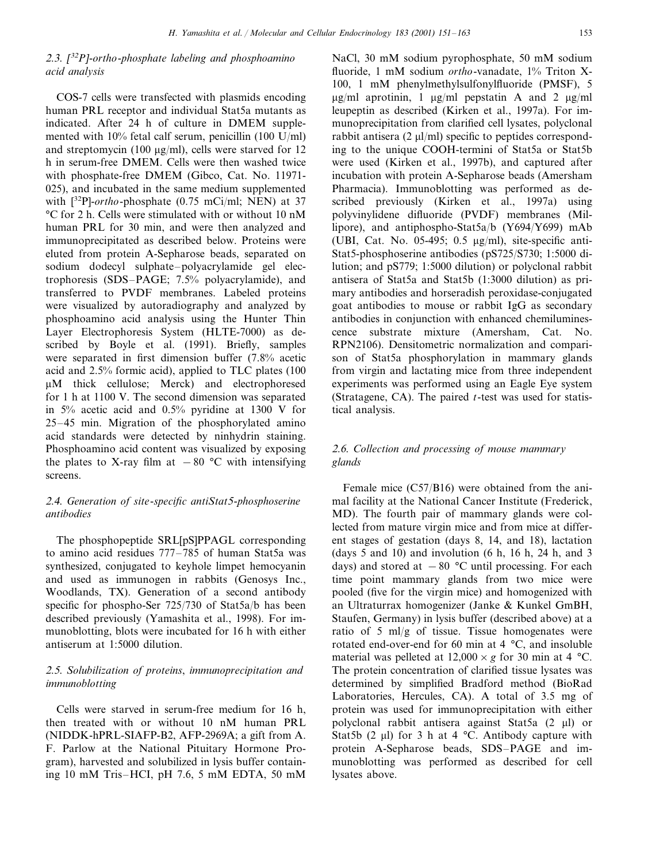### <sup>2</sup>.3. [ <sup>32</sup>*P*]-*ortho*-*phosphate labeling and phosphoamino acid analysis*

COS-7 cells were transfected with plasmids encoding human PRL receptor and individual Stat5a mutants as indicated. After 24 h of culture in DMEM supplemented with 10% fetal calf serum, penicillin (100 U/ml) and streptomycin (100  $\mu$ g/ml), cells were starved for 12 h in serum-free DMEM. Cells were then washed twice with phosphate-free DMEM (Gibco, Cat. No. 11971- 025), and incubated in the same medium supplemented with [32P]-*ortho*-phosphate (0.75 mCi/ml; NEN) at 37 °C for 2 h. Cells were stimulated with or without 10 nM human PRL for 30 min, and were then analyzed and immunoprecipitated as described below. Proteins were eluted from protein A-Sepharose beads, separated on sodium dodecyl sulphate–polyacrylamide gel electrophoresis (SDS–PAGE; 7.5% polyacrylamide), and transferred to PVDF membranes. Labeled proteins were visualized by autoradiography and analyzed by phosphoamino acid analysis using the Hunter Thin Layer Electrophoresis System (HLTE-7000) as described by Boyle et al. (1991). Briefly, samples were separated in first dimension buffer (7.8% acetic acid and 2.5% formic acid), applied to TLC plates (100 M thick cellulose; Merck) and electrophoresed for 1 h at 1100 V. The second dimension was separated in 5% acetic acid and 0.5% pyridine at 1300 V for 25–45 min. Migration of the phosphorylated amino acid standards were detected by ninhydrin staining. Phosphoamino acid content was visualized by exposing the plates to X-ray film at  $-80$  °C with intensifying screens.

## <sup>2</sup>.4. *Generation of site*-*specific antiStat*5-*phosphoserine antibodies*

The phosphopeptide SRL[pS]PPAGL corresponding to amino acid residues 777–785 of human Stat5a was synthesized, conjugated to keyhole limpet hemocyanin and used as immunogen in rabbits (Genosys Inc., Woodlands, TX). Generation of a second antibody specific for phospho-Ser 725/730 of Stat5a/b has been described previously (Yamashita et al., 1998). For immunoblotting, blots were incubated for 16 h with either antiserum at 1:5000 dilution.

## <sup>2</sup>.5. *Solubilization of proteins*, *immunoprecipitation and immunoblotting*

Cells were starved in serum-free medium for 16 h, then treated with or without 10 nM human PRL (NIDDK-hPRL-SIAFP-B2, AFP-2969A; a gift from A. F. Parlow at the National Pituitary Hormone Program), harvested and solubilized in lysis buffer containing 10 mM Tris–HCI, pH 7.6, 5 mM EDTA, 50 mM NaCl, 30 mM sodium pyrophosphate, 50 mM sodium fluoride, 1 mM sodium *ortho*-vanadate, 1% Triton X-100, 1 mM phenylmethylsulfonylfluoride (PMSF), 5  $\mu$ g/ml aprotinin, 1  $\mu$ g/ml pepstatin A and 2  $\mu$ g/ml leupeptin as described (Kirken et al., 1997a). For immunoprecipitation from clarified cell lysates, polyclonal rabbit antisera  $(2 \mu l/ml)$  specific to peptides corresponding to the unique COOH-termini of Stat5a or Stat5b were used (Kirken et al., 1997b), and captured after incubation with protein A-Sepharose beads (Amersham Pharmacia). Immunoblotting was performed as described previously (Kirken et al., 1997a) using polyvinylidene difluoride (PVDF) membranes (Millipore), and antiphospho-Stat5a/b (Y694/Y699) mAb (UBI, Cat. No. 05-495; 0.5  $\mu$ g/ml), site-specific anti-Stat5-phosphoserine antibodies (pS725/S730; 1:5000 dilution; and pS779; 1:5000 dilution) or polyclonal rabbit antisera of Stat5a and Stat5b (1:3000 dilution) as primary antibodies and horseradish peroxidase-conjugated goat antibodies to mouse or rabbit IgG as secondary antibodies in conjunction with enhanced chemiluminescence substrate mixture (Amersham, Cat. No. RPN2106). Densitometric normalization and comparison of Stat5a phosphorylation in mammary glands from virgin and lactating mice from three independent experiments was performed using an Eagle Eye system (Stratagene, CA). The paired *t*-test was used for statistical analysis.

## <sup>2</sup>.6. *Collection and processing of mouse mammary glands*

Female mice (C57/B16) were obtained from the animal facility at the National Cancer Institute (Frederick, MD). The fourth pair of mammary glands were collected from mature virgin mice and from mice at different stages of gestation (days 8, 14, and 18), lactation (days 5 and 10) and involution  $(6 \text{ h}, 16 \text{ h}, 24 \text{ h}, \text{ and } 3)$ days) and stored at  $-80$  °C until processing. For each time point mammary glands from two mice were pooled (five for the virgin mice) and homogenized with an Ultraturrax homogenizer (Janke & Kunkel GmBH, Staufen, Germany) in lysis buffer (described above) at a ratio of 5 ml/g of tissue. Tissue homogenates were rotated end-over-end for 60 min at 4 °C, and insoluble material was pelleted at  $12,000 \times g$  for 30 min at 4 °C. The protein concentration of clarified tissue lysates was determined by simplified Bradford method (BioRad Laboratories, Hercules, CA). A total of 3.5 mg of protein was used for immunoprecipitation with either polyclonal rabbit antisera against Stat5a (2 µl) or Stat5b (2  $\mu$ l) for 3 h at 4 °C. Antibody capture with protein A-Sepharose beads, SDS–PAGE and immunoblotting was performed as described for cell lysates above.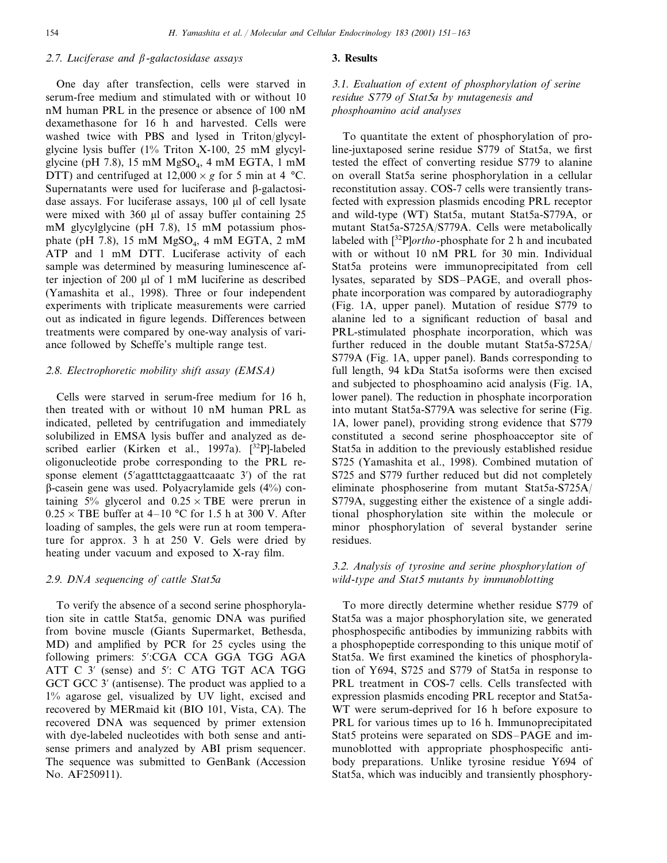## <sup>2</sup>.7. *Luciferase and* -*galactosidase assays*

One day after transfection, cells were starved in serum-free medium and stimulated with or without 10 nM human PRL in the presence or absence of 100 nM dexamethasone for 16 h and harvested. Cells were washed twice with PBS and lysed in Triton/glycylglycine lysis buffer (1% Triton X-100, 25 mM glycylglycine (pH 7.8), 15 mM  $MgSO<sub>4</sub>$ , 4 mM EGTA, 1 mM DTT) and centrifuged at  $12,000 \times g$  for 5 min at 4 °C. Supernatants were used for luciferase and  $\beta$ -galactosidase assays. For luciferase assays, 100 µl of cell lysate were mixed with  $360 \mu l$  of assay buffer containing  $25 \mu$ mM glycylglycine (pH 7.8), 15 mM potassium phosphate (pH 7.8), 15 mM  $MgSO<sub>4</sub>$ , 4 mM EGTA, 2 mM ATP and 1 mM DTT. Luciferase activity of each sample was determined by measuring luminescence after injection of  $200 \mu l$  of 1 mM luciferine as described (Yamashita et al., 1998). Three or four independent experiments with triplicate measurements were carried out as indicated in figure legends. Differences between treatments were compared by one-way analysis of variance followed by Scheffe's multiple range test.

#### <sup>2</sup>.8. *Electrophoretic mobility shift assay* (*EMSA*)

Cells were starved in serum-free medium for 16 h, then treated with or without 10 nM human PRL as indicated, pelleted by centrifugation and immediately solubilized in EMSA lysis buffer and analyzed as described earlier (Kirken et al., 1997a).  $[32P]$ -labeled oligonucleotide probe corresponding to the PRL response element (5'agatttctaggaattcaaatc 3') of the rat  $\beta$ -casein gene was used. Polyacrylamide gels (4%) containing 5% glycerol and  $0.25 \times \text{TBE}$  were prerun in  $0.25 \times$  TBE buffer at 4–10 °C for 1.5 h at 300 V. After loading of samples, the gels were run at room temperature for approx. 3 h at 250 V. Gels were dried by heating under vacuum and exposed to X-ray film.

#### <sup>2</sup>.9. *DNA sequencing of cattle Stat*5*a*

To verify the absence of a second serine phosphorylation site in cattle Stat5a, genomic DNA was purified from bovine muscle (Giants Supermarket, Bethesda, MD) and amplified by PCR for 25 cycles using the following primers: 5':CGA CCA GGA TGG AGA ATT C 3' (sense) and 5': C ATG TGT ACA TGG GCT GCC 3' (antisense). The product was applied to a 1% agarose gel, visualized by UV light, excised and recovered by MERmaid kit (BIO 101, Vista, CA). The recovered DNA was sequenced by primer extension with dye-labeled nucleotides with both sense and antisense primers and analyzed by ABI prism sequencer. The sequence was submitted to GenBank (Accession No. AF250911).

#### **3. Results**

<sup>3</sup>.1. *Ealuation of extent of phosphorylation of serine residue S*779 *of Stat*5*a by mutagenesis and phosphoamino acid analyses*

To quantitate the extent of phosphorylation of proline-juxtaposed serine residue S779 of Stat5a, we first tested the effect of converting residue S779 to alanine on overall Stat5a serine phosphorylation in a cellular reconstitution assay. COS-7 cells were transiently transfected with expression plasmids encoding PRL receptor and wild-type (WT) Stat5a, mutant Stat5a-S779A, or mutant Stat5a-S725A/S779A. Cells were metabolically labeled with [32P]*ortho*-phosphate for 2 h and incubated with or without 10 nM PRL for 30 min. Individual Stat5a proteins were immunoprecipitated from cell lysates, separated by SDS–PAGE, and overall phosphate incorporation was compared by autoradiography (Fig. 1A, upper panel). Mutation of residue S779 to alanine led to a significant reduction of basal and PRL-stimulated phosphate incorporation, which was further reduced in the double mutant Stat5a-S725A/ S779A (Fig. 1A, upper panel). Bands corresponding to full length, 94 kDa Stat5a isoforms were then excised and subjected to phosphoamino acid analysis (Fig. 1A, lower panel). The reduction in phosphate incorporation into mutant Stat5a-S779A was selective for serine (Fig. 1A, lower panel), providing strong evidence that S779 constituted a second serine phosphoacceptor site of Stat5a in addition to the previously established residue S725 (Yamashita et al., 1998). Combined mutation of S725 and S779 further reduced but did not completely eliminate phosphoserine from mutant Stat5a-S725A/ S779A, suggesting either the existence of a single additional phosphorylation site within the molecule or minor phosphorylation of several bystander serine residues.

## 3.2. *Analysis of tyrosine and serine phosphorylation of wild*-*type and Stat*<sup>5</sup> *mutants by immunoblotting*

To more directly determine whether residue S779 of Stat5a was a major phosphorylation site, we generated phosphospecific antibodies by immunizing rabbits with a phosphopeptide corresponding to this unique motif of Stat5a. We first examined the kinetics of phosphorylation of Y694, S725 and S779 of Stat5a in response to PRL treatment in COS-7 cells. Cells transfected with expression plasmids encoding PRL receptor and Stat5a-WT were serum-deprived for 16 h before exposure to PRL for various times up to 16 h. Immunoprecipitated Stat5 proteins were separated on SDS–PAGE and immunoblotted with appropriate phosphospecific antibody preparations. Unlike tyrosine residue Y694 of Stat5a, which was inducibly and transiently phosphory-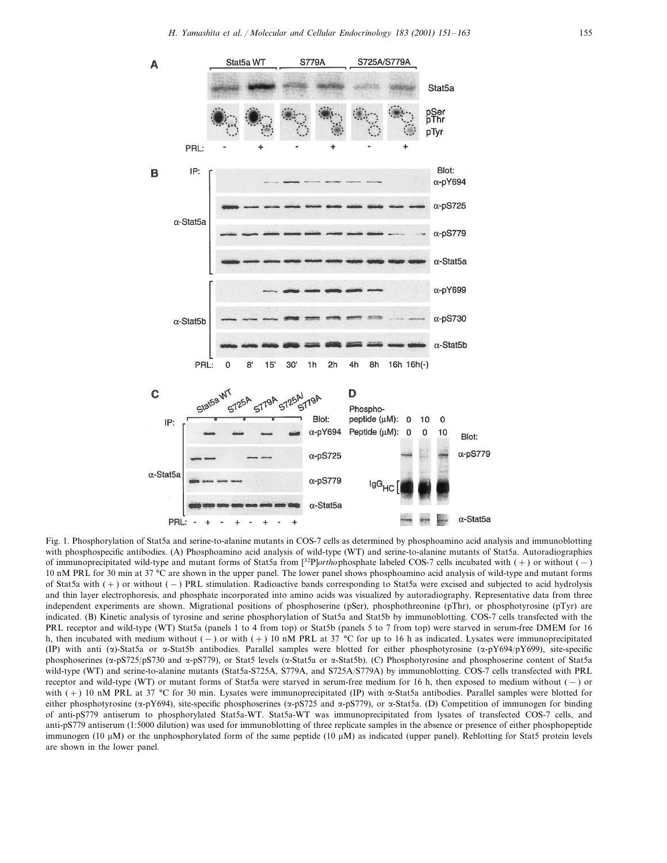

Fig. 1. Phosphorylation of Stat5a and serine-to-alanine mutants in COS-7 cells as determined by phosphoamino acid analysis and immunoblotting with phosphospecific antibodies. (A) Phosphoamino acid analysis of wild-type (WT) and serine-to-alanine mutants of Stat5a. Autoradiographies of immunoprecipitated wild-type and mutant forms of Stat5a from [32P]*ortho*phosphate labeled COS-7 cells incubated with (+) or without (−) 10 nM PRL for 30 min at 37 °C are shown in the upper panel. The lower panel shows phosphoamino acid analysis of wild-type and mutant forms of Stat5a with (+) or without (−) PRL stimulation. Radioactive bands corresponding to Stat5a were excised and subjected to acid hydrolysis and thin layer electrophoresis, and phosphate incorporated into amino acids was visualized by autoradiography. Representative data from three independent experiments are shown. Migrational positions of phosphoserine (pSer), phosphothreonine (pThr), or phosphotyrosine (pTyr) are indicated. (B) Kinetic analysis of tyrosine and serine phosphorylation of Stat5a and Stat5b by immunoblotting. COS-7 cells transfected with the PRL receptor and wild-type (WT) Stat5a (panels 1 to 4 from top) or Stat5b (panels 5 to 7 from top) were starved in serum-free DMEM for 16 h, then incubated with medium without (−) or with (+) 10 nM PRL at 37 °C for up to 16 h as indicated. Lysates were immunoprecipitated (IP) with anti ( $\alpha$ )-Stat5a or  $\alpha$ -Stat5b antibodies. Parallel samples were blotted for either phosphotyrosine ( $\alpha$ -pY694/pY699), site-specific phosphoserines (α-pS725/pS730 and α-pS779), or Stat5 levels (α-Stat5a or α-Stat5b). (C) Phosphotyrosine and phosphoserine content of Stat5a wild-type (WT) and serine-to-alanine mutants (Stat5a-S725A, S779A, and S725A/S779A) by immunoblotting. COS-7 cells transfected with PRL receptor and wild-type (WT) or mutant forms of Stat5a were starved in serum-free medium for 16 h, then exposed to medium without (−) or with  $(+)$  10 nM PRL at 37 °C for 30 min. Lysates were immunoprecipitated (IP) with  $\alpha$ -Stat5a antibodies. Parallel samples were blotted for either phosphotyrosine ( $\alpha$ -pY694), site-specific phosphoserines ( $\alpha$ -pS725 and  $\alpha$ -pS779), or  $\alpha$ -Stat5a. (D) Competition of immunogen for binding of anti-pS779 antiserum to phosphorylated Stat5a-WT. Stat5a-WT was immunoprecipitated from lysates of transfected COS-7 cells, and anti-pS779 antiserum (1:5000 dilution) was used for immunoblotting of three replicate samples in the absence or presence of either phosphopeptide immunogen (10  $\mu$ M) or the unphosphorylated form of the same peptide (10  $\mu$ M) as indicated (upper panel). Reblotting for Stat5 protein levels are shown in the lower panel.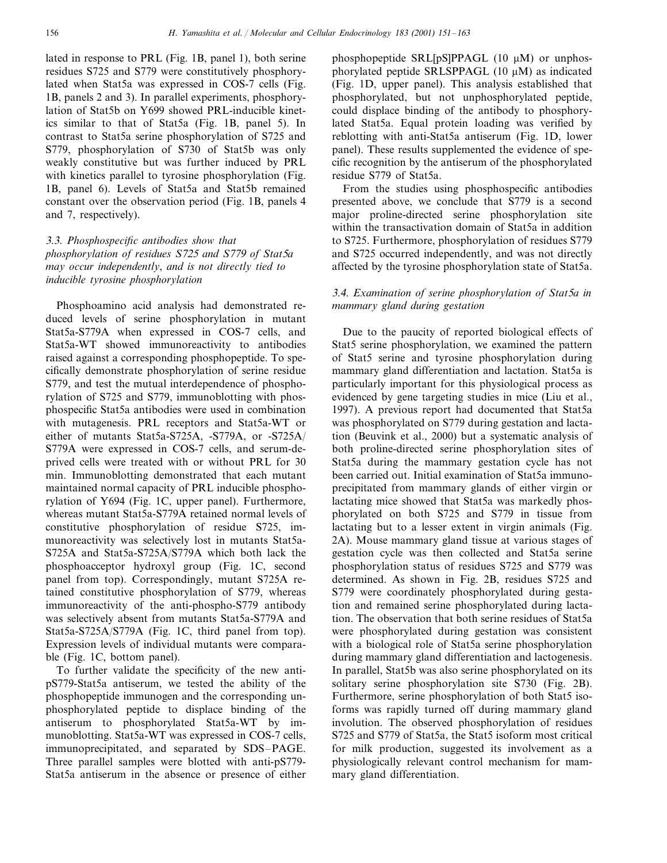lated in response to PRL (Fig. 1B, panel 1), both serine residues S725 and S779 were constitutively phosphorylated when Stat5a was expressed in COS-7 cells (Fig. 1B, panels 2 and 3). In parallel experiments, phosphorylation of Stat5b on Y699 showed PRL-inducible kinetics similar to that of Stat5a (Fig. 1B, panel 5). In contrast to Stat5a serine phosphorylation of S725 and S779, phosphorylation of S730 of Stat5b was only weakly constitutive but was further induced by PRL with kinetics parallel to tyrosine phosphorylation (Fig. 1B, panel 6). Levels of Stat5a and Stat5b remained constant over the observation period (Fig. 1B, panels 4 and 7, respectively).

# 3.3. *Phosphospecific antibodies show that phosphorylation of residues S*725 *and S*779 *of Stat*5*a may occur independently*, *and is not directly tied to inducible tyrosine phosphorylation*

Phosphoamino acid analysis had demonstrated reduced levels of serine phosphorylation in mutant Stat5a-S779A when expressed in COS-7 cells, and Stat5a-WT showed immunoreactivity to antibodies raised against a corresponding phosphopeptide. To specifically demonstrate phosphorylation of serine residue S779, and test the mutual interdependence of phosphorylation of S725 and S779, immunoblotting with phosphospecific Stat5a antibodies were used in combination with mutagenesis. PRL receptors and Stat5a-WT or either of mutants Stat5a-S725A, -S779A, or -S725A/ S779A were expressed in COS-7 cells, and serum-deprived cells were treated with or without PRL for 30 min. Immunoblotting demonstrated that each mutant maintained normal capacity of PRL inducible phosphorylation of Y694 (Fig. 1C, upper panel). Furthermore, whereas mutant Stat5a-S779A retained normal levels of constitutive phosphorylation of residue S725, immunoreactivity was selectively lost in mutants Stat5a-S725A and Stat5a-S725A/S779A which both lack the phosphoacceptor hydroxyl group (Fig. 1C, second panel from top). Correspondingly, mutant S725A retained constitutive phosphorylation of S779, whereas immunoreactivity of the anti-phospho-S779 antibody was selectively absent from mutants Stat5a-S779A and Stat5a-S725A/S779A (Fig. 1C, third panel from top). Expression levels of individual mutants were comparable (Fig. 1C, bottom panel).

To further validate the specificity of the new antipS779-Stat5a antiserum, we tested the ability of the phosphopeptide immunogen and the corresponding unphosphorylated peptide to displace binding of the antiserum to phosphorylated Stat5a-WT by immunoblotting. Stat5a-WT was expressed in COS-7 cells, immunoprecipitated, and separated by SDS–PAGE. Three parallel samples were blotted with anti-pS779- Stat5a antiserum in the absence or presence of either

phosphopeptide SRL[pS]PPAGL  $(10 \mu M)$  or unphosphorylated peptide SRLSPPAGL  $(10 \mu M)$  as indicated (Fig. 1D, upper panel). This analysis established that phosphorylated, but not unphosphorylated peptide, could displace binding of the antibody to phosphorylated Stat5a. Equal protein loading was verified by reblotting with anti-Stat5a antiserum (Fig. 1D, lower panel). These results supplemented the evidence of specific recognition by the antiserum of the phosphorylated residue S779 of Stat5a.

From the studies using phosphospecific antibodies presented above, we conclude that S779 is a second major proline-directed serine phosphorylation site within the transactivation domain of Stat5a in addition to S725. Furthermore, phosphorylation of residues S779 and S725 occurred independently, and was not directly affected by the tyrosine phosphorylation state of Stat5a.

# 3.4. *Examination of serine phosphorylation of Stat*5*a in mammary gland during gestation*

Due to the paucity of reported biological effects of Stat5 serine phosphorylation, we examined the pattern of Stat5 serine and tyrosine phosphorylation during mammary gland differentiation and lactation. Stat5a is particularly important for this physiological process as evidenced by gene targeting studies in mice (Liu et al., 1997). A previous report had documented that Stat5a was phosphorylated on S779 during gestation and lactation (Beuvink et al., 2000) but a systematic analysis of both proline-directed serine phosphorylation sites of Stat5a during the mammary gestation cycle has not been carried out. Initial examination of Stat5a immunoprecipitated from mammary glands of either virgin or lactating mice showed that Stat5a was markedly phosphorylated on both S725 and S779 in tissue from lactating but to a lesser extent in virgin animals (Fig. 2A). Mouse mammary gland tissue at various stages of gestation cycle was then collected and Stat5a serine phosphorylation status of residues S725 and S779 was determined. As shown in Fig. 2B, residues S725 and S779 were coordinately phosphorylated during gestation and remained serine phosphorylated during lactation. The observation that both serine residues of Stat5a were phosphorylated during gestation was consistent with a biological role of Stat5a serine phosphorylation during mammary gland differentiation and lactogenesis. In parallel, Stat5b was also serine phosphorylated on its solitary serine phosphorylation site S730 (Fig. 2B). Furthermore, serine phosphorylation of both Stat5 isoforms was rapidly turned off during mammary gland involution. The observed phosphorylation of residues S725 and S779 of Stat5a, the Stat5 isoform most critical for milk production, suggested its involvement as a physiologically relevant control mechanism for mammary gland differentiation.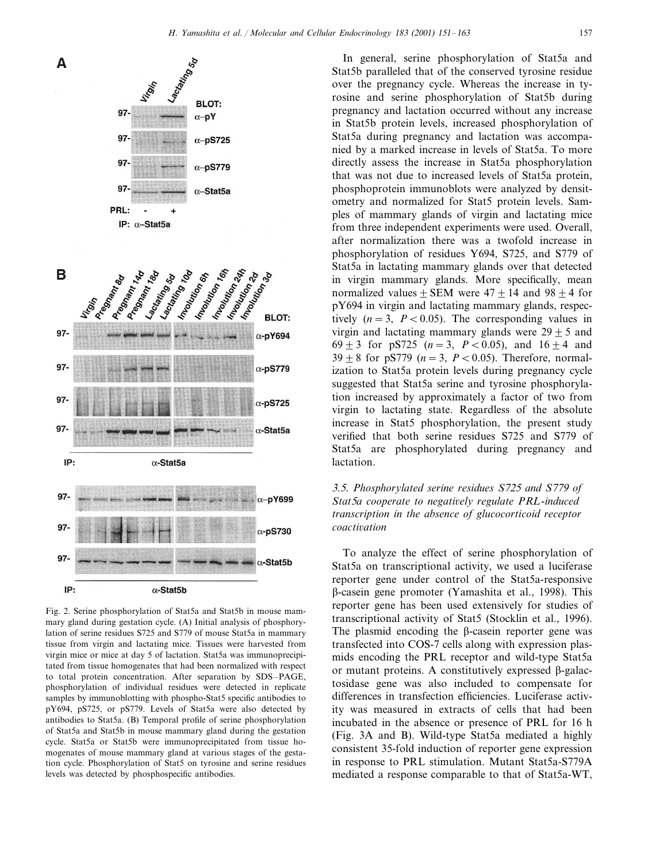

Fig. 2. Serine phosphorylation of Stat5a and Stat5b in mouse mammary gland during gestation cycle. (A) Initial analysis of phosphorylation of serine residues S725 and S779 of mouse Stat5a in mammary tissue from virgin and lactating mice. Tissues were harvested from virgin mice or mice at day 5 of lactation. Stat5a was immunoprecipitated from tissue homogenates that had been normalized with respect to total protein concentration. After separation by SDS–PAGE, phosphorylation of individual residues were detected in replicate samples by immunoblotting with phospho-Stat5 specific antibodies to pY694, pS725, or pS779. Levels of Stat5a were also detected by antibodies to Stat5a. (B) Temporal profile of serine phosphorylation of Stat5a and Stat5b in mouse mammary gland during the gestation cycle. Stat5a or Stat5b were immunoprecipitated from tissue homogenates of mouse mammary gland at various stages of the gestation cycle. Phosphorylation of Stat5 on tyrosine and serine residues levels was detected by phosphospecific antibodies.

In general, serine phosphorylation of Stat5a and Stat5b paralleled that of the conserved tyrosine residue over the pregnancy cycle. Whereas the increase in tyrosine and serine phosphorylation of Stat5b during pregnancy and lactation occurred without any increase in Stat5b protein levels, increased phosphorylation of Stat5a during pregnancy and lactation was accompanied by a marked increase in levels of Stat5a. To more directly assess the increase in Stat5a phosphorylation that was not due to increased levels of Stat5a protein, phosphoprotein immunoblots were analyzed by densitometry and normalized for Stat5 protein levels. Samples of mammary glands of virgin and lactating mice from three independent experiments were used. Overall, after normalization there was a twofold increase in phosphorylation of residues Y694, S725, and S779 of Stat5a in lactating mammary glands over that detected in virgin mammary glands. More specifically, mean normalized values + SEM were  $47 + 14$  and  $98 + 4$  for pY694 in virgin and lactating mammary glands, respectively  $(n=3, P < 0.05)$ . The corresponding values in virgin and lactating mammary glands were  $29 \pm 5$  and  $69 \pm 3$  for pS725 (*n* = 3, *P* < 0.05), and 16  $\pm$  4 and  $39 \pm 8$  for pS779 (*n* = 3, *P* < 0.05). Therefore, normalization to Stat5a protein levels during pregnancy cycle suggested that Stat5a serine and tyrosine phosphorylation increased by approximately a factor of two from virgin to lactating state. Regardless of the absolute increase in Stat5 phosphorylation, the present study verified that both serine residues S725 and S779 of Stat5a are phosphorylated during pregnancy and lactation.

# 3.5. *Phosphorylated serine residues S*725 *and S*779 *of Stat*5*a cooperate to negatiely regulate PRL*-*induced transcription in the absence of glucocorticoid receptor coactiation*

To analyze the effect of serine phosphorylation of Stat5a on transcriptional activity, we used a luciferase reporter gene under control of the Stat5a-responsive -casein gene promoter (Yamashita et al., 1998). This reporter gene has been used extensively for studies of transcriptional activity of Stat5 (Stocklin et al., 1996). The plasmid encoding the  $\beta$ -casein reporter gene was transfected into COS-7 cells along with expression plasmids encoding the PRL receptor and wild-type Stat5a or mutant proteins. A constitutively expressed  $\beta$ -galactosidase gene was also included to compensate for differences in transfection efficiencies. Luciferase activity was measured in extracts of cells that had been incubated in the absence or presence of PRL for 16 h (Fig. 3A and B). Wild-type Stat5a mediated a highly consistent 35-fold induction of reporter gene expression in response to PRL stimulation. Mutant Stat5a-S779A mediated a response comparable to that of Stat5a-WT,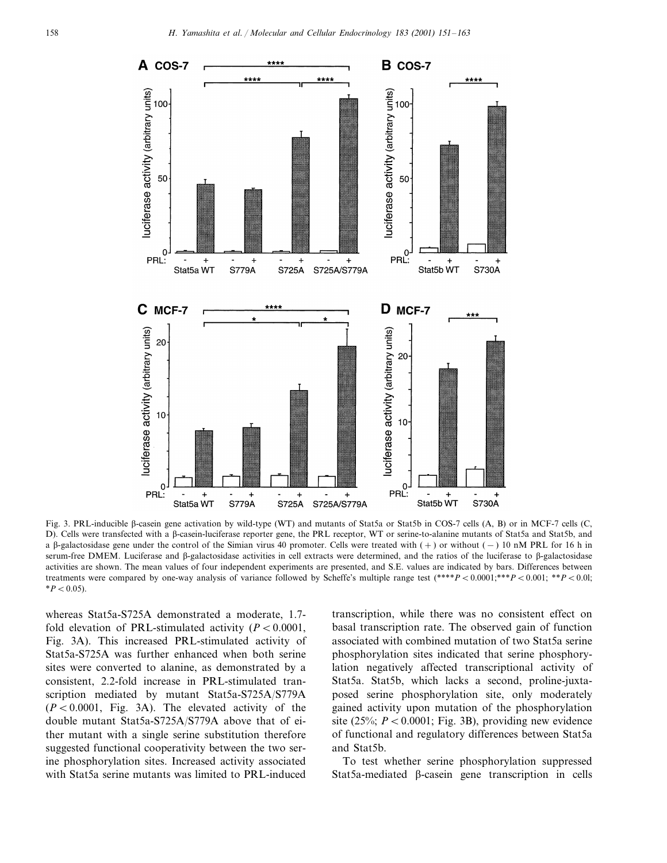

Fig. 3. PRL-inducible  $\beta$ -casein gene activation by wild-type (WT) and mutants of Stat5a or Stat5b in COS-7 cells (A, B) or in MCF-7 cells (C, D). Cells were transfected with a β-casein-luciferase reporter gene, the PRL receptor, WT or serine-to-alanine mutants of Stat5a and Stat5b, and a β-galactosidase gene under the control of the Simian virus 40 promoter. Cells were treated with (+) or without (–) 10 nM PRL for 16 h in serum-free DMEM. Luciferase and  $\beta$ -galactosidase activities in cell extracts were determined, and the ratios of the luciferase to  $\beta$ -galactosidase activities are shown. The mean values of four independent experiments are presented, and S.E. values are indicated by bars. Differences between treatments were compared by one-way analysis of variance followed by Scheffe's multiple range test  $(*^{***}P < 0.0001; **P < 0.001; **P < 0.001$  $*P < 0.05$ ).

whereas Stat5a-S725A demonstrated a moderate, 1.7 fold elevation of PRL-stimulated activity  $(P < 0.0001)$ , Fig. 3A). This increased PRL-stimulated activity of Stat5a-S725A was further enhanced when both serine sites were converted to alanine, as demonstrated by a consistent, 2.2-fold increase in PRL-stimulated transcription mediated by mutant Stat5a-S725A/S779A  $(P < 0.0001$ , Fig. 3A). The elevated activity of the double mutant Stat5a-S725A/S779A above that of either mutant with a single serine substitution therefore suggested functional cooperativity between the two serine phosphorylation sites. Increased activity associated with Stat5a serine mutants was limited to PRL-induced transcription, while there was no consistent effect on basal transcription rate. The observed gain of function associated with combined mutation of two Stat5a serine phosphorylation sites indicated that serine phosphorylation negatively affected transcriptional activity of Stat5a. Stat5b, which lacks a second, proline-juxtaposed serine phosphorylation site, only moderately gained activity upon mutation of the phosphorylation site  $(25\%; P < 0.0001;$  Fig. 3B), providing new evidence of functional and regulatory differences between Stat5a and Stat5b.

To test whether serine phosphorylation suppressed Stat5a-mediated  $\beta$ -casein gene transcription in cells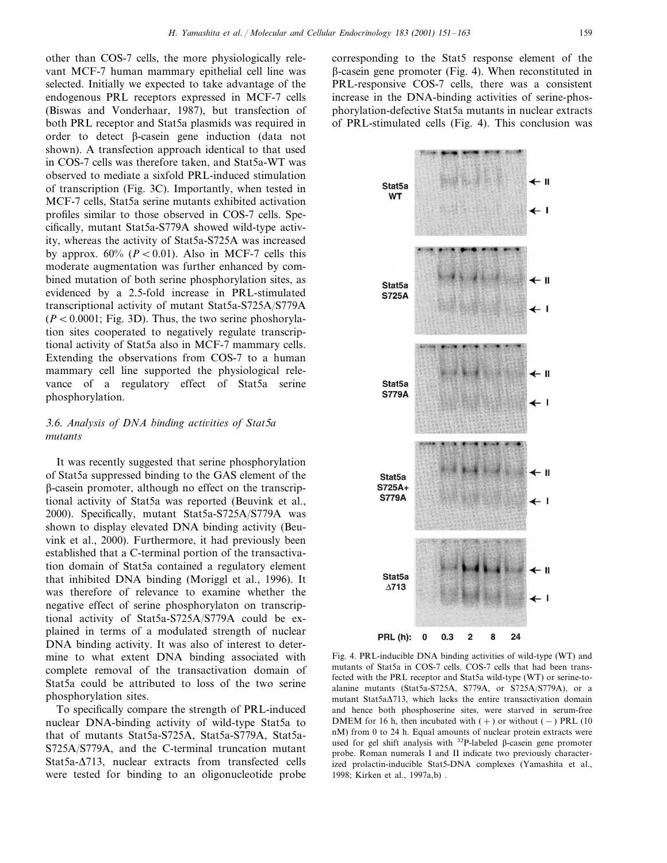other than COS-7 cells, the more physiologically relevant MCF-7 human mammary epithelial cell line was selected. Initially we expected to take advantage of the endogenous PRL receptors expressed in MCF-7 cells (Biswas and Vonderhaar, 1987), but transfection of both PRL receptor and Stat5a plasmids was required in order to detect  $\beta$ -casein gene induction (data not shown). A transfection approach identical to that used in COS-7 cells was therefore taken, and Stat5a-WT was observed to mediate a sixfold PRL-induced stimulation of transcription (Fig. 3C). Importantly, when tested in MCF-7 cells, Stat5a serine mutants exhibited activation profiles similar to those observed in COS-7 cells. Specifically, mutant Stat5a-S779A showed wild-type activity, whereas the activity of Stat5a-S725A was increased by approx.  $60\%$  ( $P < 0.01$ ). Also in MCF-7 cells this moderate augmentation was further enhanced by combined mutation of both serine phosphorylation sites, as evidenced by a 2.5-fold increase in PRL-stimulated transcriptional activity of mutant Stat5a-S725A/S779A  $(P < 0.0001$ ; Fig. 3D). Thus, the two serine phoshorylation sites cooperated to negatively regulate transcriptional activity of Stat5a also in MCF-7 mammary cells. Extending the observations from COS-7 to a human mammary cell line supported the physiological relevance of a regulatory effect of Stat5a serine phosphorylation.

## <sup>3</sup>.6. *Analysis of DNA binding actiities of Stat*5*a mutants*

It was recently suggested that serine phosphorylation of Stat5a suppressed binding to the GAS element of the  $\beta$ -casein promoter, although no effect on the transcriptional activity of Stat5a was reported (Beuvink et al., 2000). Specifically, mutant Stat5a-S725A/S779A was shown to display elevated DNA binding activity (Beuvink et al., 2000). Furthermore, it had previously been established that a C-terminal portion of the transactivation domain of Stat5a contained a regulatory element that inhibited DNA binding (Moriggl et al., 1996). It was therefore of relevance to examine whether the negative effect of serine phosphorylaton on transcriptional activity of Stat5a-S725A/S779A could be explained in terms of a modulated strength of nuclear DNA binding activity. It was also of interest to determine to what extent DNA binding associated with complete removal of the transactivation domain of Stat5a could be attributed to loss of the two serine phosphorylation sites.

To specifically compare the strength of PRL-induced nuclear DNA-binding activity of wild-type Stat5a to that of mutants Stat5a-S725A, Stat5a-S779A, Stat5a-S725A/S779A, and the C-terminal truncation mutant Stat5a- $\Delta$ 713, nuclear extracts from transfected cells were tested for binding to an oligonucleotide probe

corresponding to the Stat5 response element of the  $\beta$ -casein gene promoter (Fig. 4). When reconstituted in PRL-responsive COS-7 cells, there was a consistent increase in the DNA-binding activities of serine-phosphorylation-defective Stat5a mutants in nuclear extracts of PRL-stimulated cells (Fig. 4). This conclusion was



Fig. 4. PRL-inducible DNA binding activities of wild-type (WT) and mutants of Stat5a in COS-7 cells. COS-7 cells that had been transfected with the PRL receptor and Stat5a wild-type (WT) or serine-toalanine mutants (Stat5a-S725A, S779A, or S725A/S779A), or a mutant Stat5a $\Delta$ 713, which lacks the entire transactivation domain and hence both phosphoserine sites, were starved in serum-free DMEM for 16 h, then incubated with  $(+)$  or without  $(-)$  PRL (10 nM) from 0 to 24 h. Equal amounts of nuclear protein extracts were used for gel shift analysis with  $32P$ -labeled  $\beta$ -casein gene promoter probe. Roman numerals I and II indicate two previously characterized prolactin-inducible Stat5-DNA complexes (Yamashita et al., 1998; Kirken et al., 1997a,b) .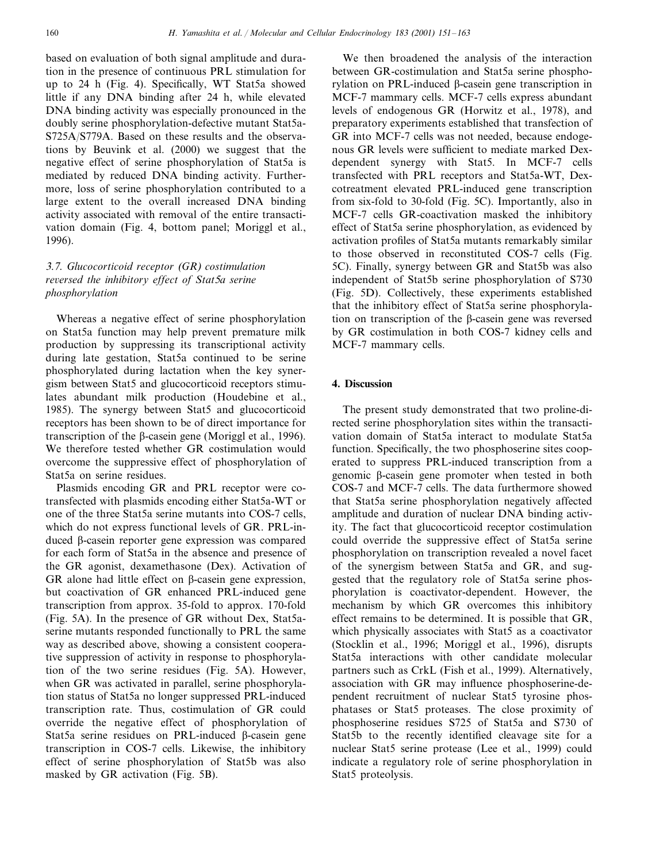based on evaluation of both signal amplitude and duration in the presence of continuous PRL stimulation for up to 24 h (Fig. 4). Specifically, WT Stat5a showed little if any DNA binding after 24 h, while elevated DNA binding activity was especially pronounced in the doubly serine phosphorylation-defective mutant Stat5a-S725A/S779A. Based on these results and the observations by Beuvink et al. (2000) we suggest that the negative effect of serine phosphorylation of Stat5a is mediated by reduced DNA binding activity. Furthermore, loss of serine phosphorylation contributed to a large extent to the overall increased DNA binding activity associated with removal of the entire transactivation domain (Fig. 4, bottom panel; Moriggl et al., 1996).

## 3.7. *Glucocorticoid receptor* (*GR*) *costimulation reersed the inhibitory effect of Stat*5*a serine phosphorylation*

Whereas a negative effect of serine phosphorylation on Stat5a function may help prevent premature milk production by suppressing its transcriptional activity during late gestation, Stat5a continued to be serine phosphorylated during lactation when the key synergism between Stat5 and glucocorticoid receptors stimulates abundant milk production (Houdebine et al., 1985). The synergy between Stat5 and glucocorticoid receptors has been shown to be of direct importance for transcription of the  $\beta$ -casein gene (Moriggl et al., 1996). We therefore tested whether GR costimulation would overcome the suppressive effect of phosphorylation of Stat5a on serine residues.

Plasmids encoding GR and PRL receptor were cotransfected with plasmids encoding either Stat5a-WT or one of the three Stat5a serine mutants into COS-7 cells, which do not express functional levels of GR. PRL-induced  $\beta$ -casein reporter gene expression was compared for each form of Stat5a in the absence and presence of the GR agonist, dexamethasone (Dex). Activation of GR alone had little effect on  $\beta$ -casein gene expression, but coactivation of GR enhanced PRL-induced gene transcription from approx. 35-fold to approx. 170-fold (Fig. 5A). In the presence of GR without Dex, Stat5aserine mutants responded functionally to PRL the same way as described above, showing a consistent cooperative suppression of activity in response to phosphorylation of the two serine residues (Fig. 5A). However, when GR was activated in parallel, serine phosphorylation status of Stat5a no longer suppressed PRL-induced transcription rate. Thus, costimulation of GR could override the negative effect of phosphorylation of Stat5a serine residues on PRL-induced  $\beta$ -casein gene transcription in COS-7 cells. Likewise, the inhibitory effect of serine phosphorylation of Stat5b was also masked by GR activation (Fig. 5B).

We then broadened the analysis of the interaction between GR-costimulation and Stat5a serine phosphorylation on PRL-induced B-casein gene transcription in MCF-7 mammary cells. MCF-7 cells express abundant levels of endogenous GR (Horwitz et al., 1978), and preparatory experiments established that transfection of GR into MCF-7 cells was not needed, because endogenous GR levels were sufficient to mediate marked Dexdependent synergy with Stat5. In MCF-7 cells transfected with PRL receptors and Stat5a-WT, Dexcotreatment elevated PRL-induced gene transcription from six-fold to 30-fold (Fig. 5C). Importantly, also in MCF-7 cells GR-coactivation masked the inhibitory effect of Stat5a serine phosphorylation, as evidenced by activation profiles of Stat5a mutants remarkably similar to those observed in reconstituted COS-7 cells (Fig. 5C). Finally, synergy between GR and Stat5b was also independent of Stat5b serine phosphorylation of S730 (Fig. 5D). Collectively, these experiments established that the inhibitory effect of Stat5a serine phosphorylation on transcription of the  $\beta$ -casein gene was reversed by GR costimulation in both COS-7 kidney cells and MCF-7 mammary cells.

## **4. Discussion**

The present study demonstrated that two proline-directed serine phosphorylation sites within the transactivation domain of Stat5a interact to modulate Stat5a function. Specifically, the two phosphoserine sites cooperated to suppress PRL-induced transcription from a genomic  $\beta$ -casein gene promoter when tested in both COS-7 and MCF-7 cells. The data furthermore showed that Stat5a serine phosphorylation negatively affected amplitude and duration of nuclear DNA binding activity. The fact that glucocorticoid receptor costimulation could override the suppressive effect of Stat5a serine phosphorylation on transcription revealed a novel facet of the synergism between Stat5a and GR, and suggested that the regulatory role of Stat5a serine phosphorylation is coactivator-dependent. However, the mechanism by which GR overcomes this inhibitory effect remains to be determined. It is possible that GR, which physically associates with Stat<sub>5</sub> as a coactivator (Stocklin et al., 1996; Moriggl et al., 1996), disrupts Stat5a interactions with other candidate molecular partners such as CrkL (Fish et al., 1999). Alternatively, association with GR may influence phosphoserine-dependent recruitment of nuclear Stat5 tyrosine phosphatases or Stat5 proteases. The close proximity of phosphoserine residues S725 of Stat5a and S730 of Stat5b to the recently identified cleavage site for a nuclear Stat5 serine protease (Lee et al., 1999) could indicate a regulatory role of serine phosphorylation in Stat5 proteolysis.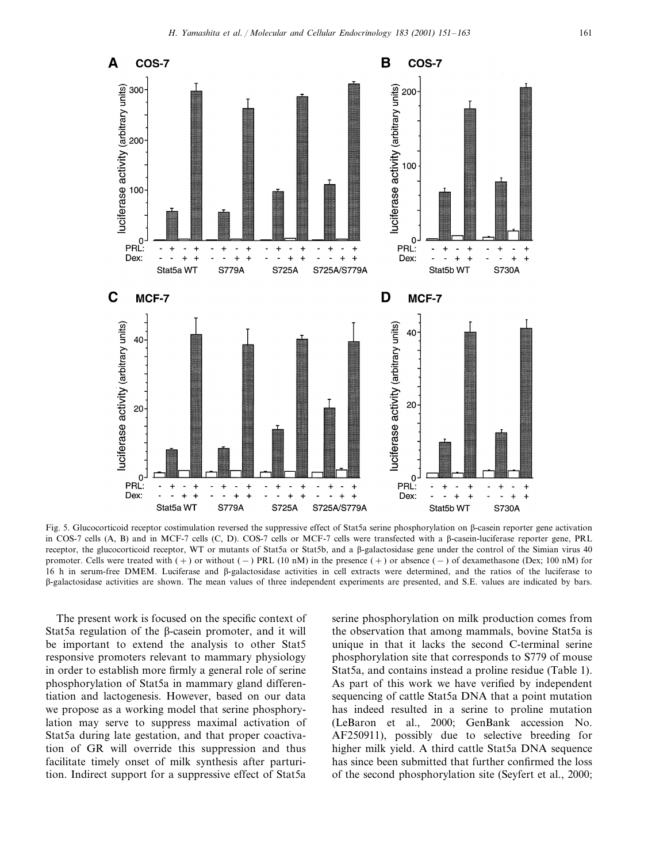

Fig. 5. Glucocorticoid receptor costimulation reversed the suppressive effect of Stat5a serine phosphorylation on  $\beta$ -casein reporter gene activation in COS-7 cells (A, B) and in MCF-7 cells (C, D). COS-7 cells or MCF-7 cells were transfected with a  $\beta$ -casein-luciferase reporter gene, PRL receptor, the glucocorticoid receptor, WT or mutants of Stat5a or Stat5b, and a B-galactosidase gene under the control of the Simian virus 40 promoter. Cells were treated with  $(+)$  or without  $(-)$  PRL  $(10 \text{ nM})$  in the presence  $(+)$  or absence  $(-)$  of dexamethasone (Dex; 100 nM) for 16 h in serum-free DMEM. Luciferase and  $\beta$ -galactosidase activities in cell extracts were determined, and the ratios of the luciferase to -galactosidase activities are shown. The mean values of three independent experiments are presented, and S.E. values are indicated by bars.

The present work is focused on the specific context of Stat5a regulation of the  $\beta$ -casein promoter, and it will be important to extend the analysis to other Stat5 responsive promoters relevant to mammary physiology in order to establish more firmly a general role of serine phosphorylation of Stat5a in mammary gland differentiation and lactogenesis. However, based on our data we propose as a working model that serine phosphorylation may serve to suppress maximal activation of Stat5a during late gestation, and that proper coactivation of GR will override this suppression and thus facilitate timely onset of milk synthesis after parturition. Indirect support for a suppressive effect of Stat5a

serine phosphorylation on milk production comes from the observation that among mammals, bovine Stat5a is unique in that it lacks the second C-terminal serine phosphorylation site that corresponds to S779 of mouse Stat5a, and contains instead a proline residue (Table 1). As part of this work we have verified by independent sequencing of cattle Stat5a DNA that a point mutation has indeed resulted in a serine to proline mutation (LeBaron et al., 2000; GenBank accession No. AF250911), possibly due to selective breeding for higher milk yield. A third cattle Stat5a DNA sequence has since been submitted that further confirmed the loss of the second phosphorylation site (Seyfert et al., 2000;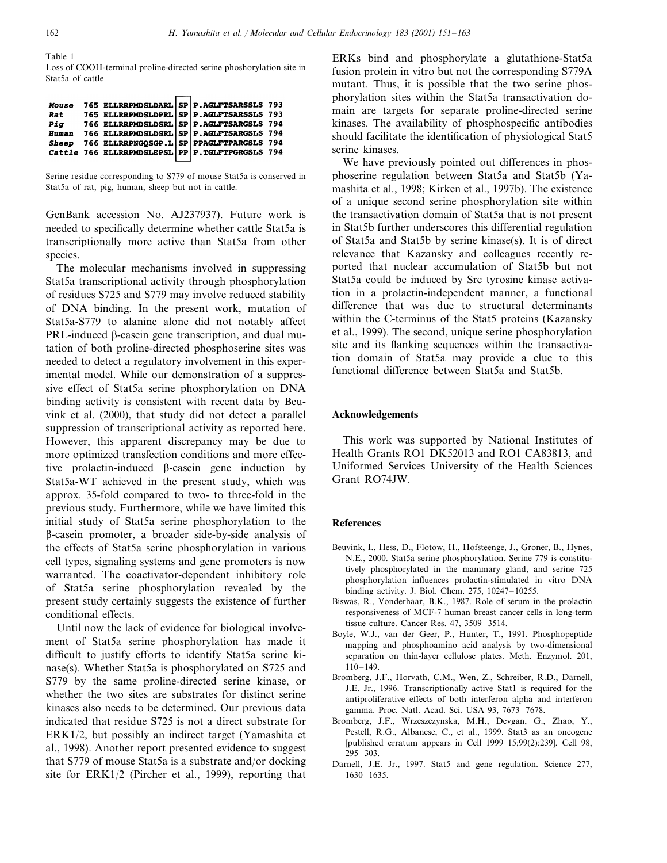Table 1

Loss of COOH-terminal proline-directed serine phoshorylation site in Stat5a of cattle

| <b>Mouse</b> | 765 ELLRRPMDSLDARL SP P. AGLFTSARSSLS 793        |  |  |
|--------------|--------------------------------------------------|--|--|
|              | Rat 765 ELLRRPMDSLDPRL SP P.AGLFTSARSSLS 793     |  |  |
|              | Piq 766 ELLRRPMDSLDSRL SP P.AGLFTSARGSLS 794     |  |  |
| <b>Human</b> | 766 ELLRRPMDSLDSRL SP P. AGLFTSARGSLS 794        |  |  |
| Sheep        | 766 ELLRRPNGQSGP.L SP PPAGLFTPARGSLS 794         |  |  |
|              | Cattle 766 ELLRRPMDSLEPSL PP P. TGLFTPGRGSLS 794 |  |  |
|              |                                                  |  |  |

Serine residue corresponding to S779 of mouse Stat5a is conserved in Stat5a of rat, pig, human, sheep but not in cattle.

GenBank accession No. AJ237937). Future work is needed to specifically determine whether cattle Stat5a is transcriptionally more active than Stat5a from other species.

The molecular mechanisms involved in suppressing Stat5a transcriptional activity through phosphorylation of residues S725 and S779 may involve reduced stability of DNA binding. In the present work, mutation of Stat5a-S779 to alanine alone did not notably affect PRL-induced  $\beta$ -casein gene transcription, and dual mutation of both proline-directed phosphoserine sites was needed to detect a regulatory involvement in this experimental model. While our demonstration of a suppressive effect of Stat5a serine phosphorylation on DNA binding activity is consistent with recent data by Beuvink et al. (2000), that study did not detect a parallel suppression of transcriptional activity as reported here. However, this apparent discrepancy may be due to more optimized transfection conditions and more effective prolactin-induced  $\beta$ -casein gene induction by Stat5a-WT achieved in the present study, which was approx. 35-fold compared to two- to three-fold in the previous study. Furthermore, while we have limited this initial study of Stat5a serine phosphorylation to the -casein promoter, a broader side-by-side analysis of the effects of Stat5a serine phosphorylation in various cell types, signaling systems and gene promoters is now warranted. The coactivator-dependent inhibitory role of Stat5a serine phosphorylation revealed by the present study certainly suggests the existence of further conditional effects.

Until now the lack of evidence for biological involvement of Stat5a serine phosphorylation has made it difficult to justify efforts to identify Stat5a serine kinase(s). Whether Stat5a is phosphorylated on S725 and S779 by the same proline-directed serine kinase, or whether the two sites are substrates for distinct serine kinases also needs to be determined. Our previous data indicated that residue S725 is not a direct substrate for ERK1/2, but possibly an indirect target (Yamashita et al., 1998). Another report presented evidence to suggest that S779 of mouse Stat5a is a substrate and/or docking site for ERK1/2 (Pircher et al., 1999), reporting that

ERKs bind and phosphorylate a glutathione-Stat5a fusion protein in vitro but not the corresponding S779A mutant. Thus, it is possible that the two serine phosphorylation sites within the Stat5a transactivation domain are targets for separate proline-directed serine kinases. The availability of phosphospecific antibodies should facilitate the identification of physiological Stat5 serine kinases.

We have previously pointed out differences in phosphoserine regulation between Stat5a and Stat5b (Yamashita et al., 1998; Kirken et al., 1997b). The existence of a unique second serine phosphorylation site within the transactivation domain of Stat5a that is not present in Stat5b further underscores this differential regulation of Stat5a and Stat5b by serine kinase(s). It is of direct relevance that Kazansky and colleagues recently reported that nuclear accumulation of Stat5b but not Stat5a could be induced by Src tyrosine kinase activation in a prolactin-independent manner, a functional difference that was due to structural determinants within the C-terminus of the Stat5 proteins (Kazansky et al., 1999). The second, unique serine phosphorylation site and its flanking sequences within the transactivation domain of Stat5a may provide a clue to this functional difference between Stat5a and Stat5b.

#### **Acknowledgements**

This work was supported by National Institutes of Health Grants RO1 DK52013 and RO1 CA83813, and Uniformed Services University of the Health Sciences Grant RO74JW.

#### **References**

- Beuvink, I., Hess, D., Flotow, H., Hofsteenge, J., Groner, B., Hynes, N.E., 2000. Stat5a serine phosphorylation. Serine 779 is constitutively phosphorylated in the mammary gland, and serine 725 phosphorylation influences prolactin-stimulated in vitro DNA binding activity. J. Biol. Chem. 275, 10247–10255.
- Biswas, R., Vonderhaar, B.K., 1987. Role of serum in the prolactin responsiveness of MCF-7 human breast cancer cells in long-term tissue culture. Cancer Res. 47, 3509–3514.
- Boyle, W.J., van der Geer, P., Hunter, T., 1991. Phosphopeptide mapping and phosphoamino acid analysis by two-dimensional separation on thin-layer cellulose plates. Meth. Enzymol. 201, 110–149.
- Bromberg, J.F., Horvath, C.M., Wen, Z., Schreiber, R.D., Darnell, J.E. Jr., 1996. Transcriptionally active Stat1 is required for the antiproliferative effects of both interferon alpha and interferon gamma. Proc. Natl. Acad. Sci. USA 93, 7673–7678.
- Bromberg, J.F., Wrzeszczynska, M.H., Devgan, G., Zhao, Y., Pestell, R.G., Albanese, C., et al., 1999. Stat3 as an oncogene [published erratum appears in Cell 1999 15;99(2):239]. Cell 98, 295–303.
- Darnell, J.E. Jr., 1997. Stat5 and gene regulation. Science 277, 1630–1635.